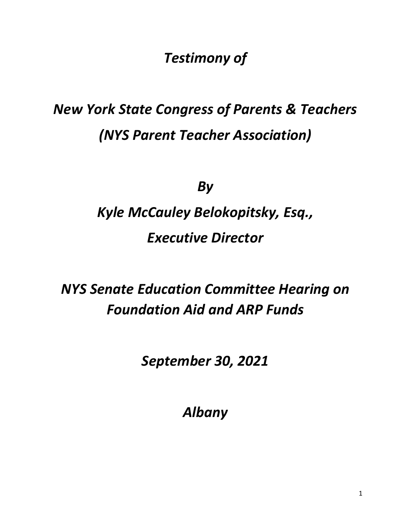*Testimony of*

## *New York State Congress of Parents & Teachers (NYS Parent Teacher Association)*

*By* 

# *Kyle McCauley Belokopitsky, Esq., Executive Director*

*NYS Senate Education Committee Hearing on Foundation Aid and ARP Funds*

*September 30, 2021*

*Albany*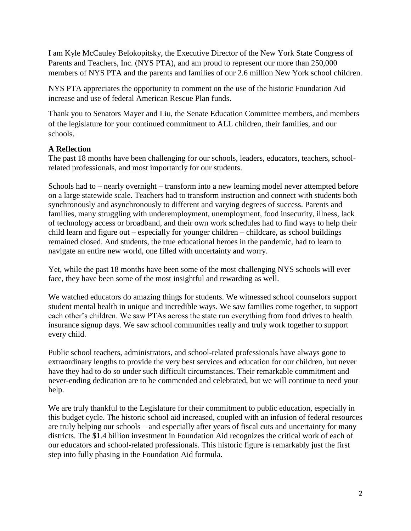I am Kyle McCauley Belokopitsky, the Executive Director of the New York State Congress of Parents and Teachers, Inc. (NYS PTA), and am proud to represent our more than 250,000 members of NYS PTA and the parents and families of our 2.6 million New York school children.

NYS PTA appreciates the opportunity to comment on the use of the historic Foundation Aid increase and use of federal American Rescue Plan funds.

Thank you to Senators Mayer and Liu, the Senate Education Committee members, and members of the legislature for your continued commitment to ALL children, their families, and our schools.

### **A Reflection**

The past 18 months have been challenging for our schools, leaders, educators, teachers, schoolrelated professionals, and most importantly for our students.

Schools had to – nearly overnight – transform into a new learning model never attempted before on a large statewide scale. Teachers had to transform instruction and connect with students both synchronously and asynchronously to different and varying degrees of success. Parents and families, many struggling with underemployment, unemployment, food insecurity, illness, lack of technology access or broadband, and their own work schedules had to find ways to help their child learn and figure out – especially for younger children – childcare, as school buildings remained closed. And students, the true educational heroes in the pandemic, had to learn to navigate an entire new world, one filled with uncertainty and worry.

Yet, while the past 18 months have been some of the most challenging NYS schools will ever face, they have been some of the most insightful and rewarding as well.

We watched educators do amazing things for students. We witnessed school counselors support student mental health in unique and incredible ways. We saw families come together, to support each other's children. We saw PTAs across the state run everything from food drives to health insurance signup days. We saw school communities really and truly work together to support every child.

Public school teachers, administrators, and school-related professionals have always gone to extraordinary lengths to provide the very best services and education for our children, but never have they had to do so under such difficult circumstances. Their remarkable commitment and never-ending dedication are to be commended and celebrated, but we will continue to need your help.

We are truly thankful to the Legislature for their commitment to public education, especially in this budget cycle. The historic school aid increased, coupled with an infusion of federal resources are truly helping our schools – and especially after years of fiscal cuts and uncertainty for many districts. The \$1.4 billion investment in Foundation Aid recognizes the critical work of each of our educators and school-related professionals. This historic figure is remarkably just the first step into fully phasing in the Foundation Aid formula.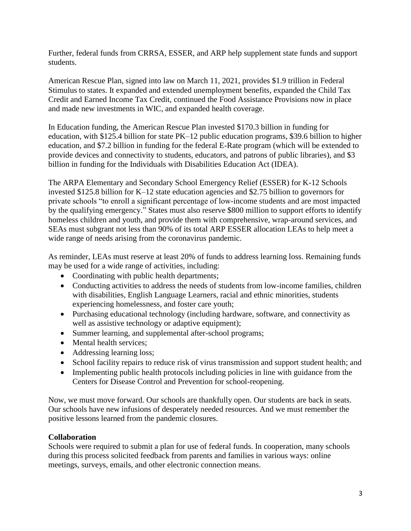Further, federal funds from CRRSA, ESSER, and ARP help supplement state funds and support students.

American Rescue Plan, signed into law on March 11, 2021, provides \$1.9 trillion in Federal Stimulus to states. It expanded and extended unemployment benefits, expanded the Child Tax Credit and Earned Income Tax Credit, continued the Food Assistance Provisions now in place and made new investments in WIC, and expanded health coverage.

In Education funding, the American Rescue Plan invested \$170.3 billion in funding for education, with \$125.4 billion for state PK–12 public education programs, \$39.6 billion to higher education, and \$7.2 billion in funding for the federal E-Rate program (which will be extended to provide devices and connectivity to students, educators, and patrons of public libraries), and \$3 billion in funding for the Individuals with Disabilities Education Act (IDEA).

The ARPA Elementary and Secondary School Emergency Relief (ESSER) for K-12 Schools invested \$125.8 billion for K–12 state education agencies and \$2.75 billion to governors for private schools "to enroll a significant percentage of low-income students and are most impacted by the qualifying emergency." States must also reserve \$800 million to support efforts to identify homeless children and youth, and provide them with comprehensive, wrap-around services, and SEAs must subgrant not less than 90% of its total ARP ESSER allocation LEAs to help meet a wide range of needs arising from the coronavirus pandemic.

As reminder, LEAs must reserve at least 20% of funds to address learning loss. Remaining funds may be used for a wide range of activities, including:

- Coordinating with public health departments;
- Conducting activities to address the needs of students from low-income families, children with disabilities, English Language Learners, racial and ethnic minorities, students experiencing homelessness, and foster care youth;
- Purchasing educational technology (including hardware, software, and connectivity as well as assistive technology or adaptive equipment);
- Summer learning, and supplemental after-school programs;
- Mental health services;
- Addressing learning loss;
- School facility repairs to reduce risk of virus transmission and support student health; and
- Implementing public health protocols including policies in line with guidance from the Centers for Disease Control and Prevention for school-reopening.

Now, we must move forward. Our schools are thankfully open. Our students are back in seats. Our schools have new infusions of desperately needed resources. And we must remember the positive lessons learned from the pandemic closures.

#### **Collaboration**

Schools were required to submit a plan for use of federal funds. In cooperation, many schools during this process solicited feedback from parents and families in various ways: online meetings, surveys, emails, and other electronic connection means.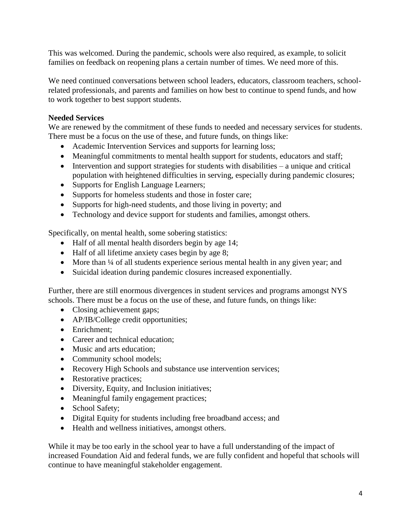This was welcomed. During the pandemic, schools were also required, as example, to solicit families on feedback on reopening plans a certain number of times. We need more of this.

We need continued conversations between school leaders, educators, classroom teachers, schoolrelated professionals, and parents and families on how best to continue to spend funds, and how to work together to best support students.

#### **Needed Services**

We are renewed by the commitment of these funds to needed and necessary services for students. There must be a focus on the use of these, and future funds, on things like:

- Academic Intervention Services and supports for learning loss;
- Meaningful commitments to mental health support for students, educators and staff;
- Intervention and support strategies for students with disabilities a unique and critical population with heightened difficulties in serving, especially during pandemic closures;
- Supports for English Language Learners;
- Supports for homeless students and those in foster care;
- Supports for high-need students, and those living in poverty; and
- Technology and device support for students and families, amongst others.

Specifically, on mental health, some sobering statistics:

- Half of all mental health disorders begin by age 14;
- Half of all lifetime anxiety cases begin by age 8;
- More than <sup>1/4</sup> of all students experience serious mental health in any given year; and
- Suicidal ideation during pandemic closures increased exponentially.

Further, there are still enormous divergences in student services and programs amongst NYS schools. There must be a focus on the use of these, and future funds, on things like:

- Closing achievement gaps;
- AP/IB/College credit opportunities;
- Enrichment:
- Career and technical education;
- Music and arts education;
- Community school models;
- Recovery High Schools and substance use intervention services;
- Restorative practices;
- Diversity, Equity, and Inclusion initiatives;
- Meaningful family engagement practices;
- School Safety;
- Digital Equity for students including free broadband access; and
- Health and wellness initiatives, amongst others.

While it may be too early in the school year to have a full understanding of the impact of increased Foundation Aid and federal funds, we are fully confident and hopeful that schools will continue to have meaningful stakeholder engagement.